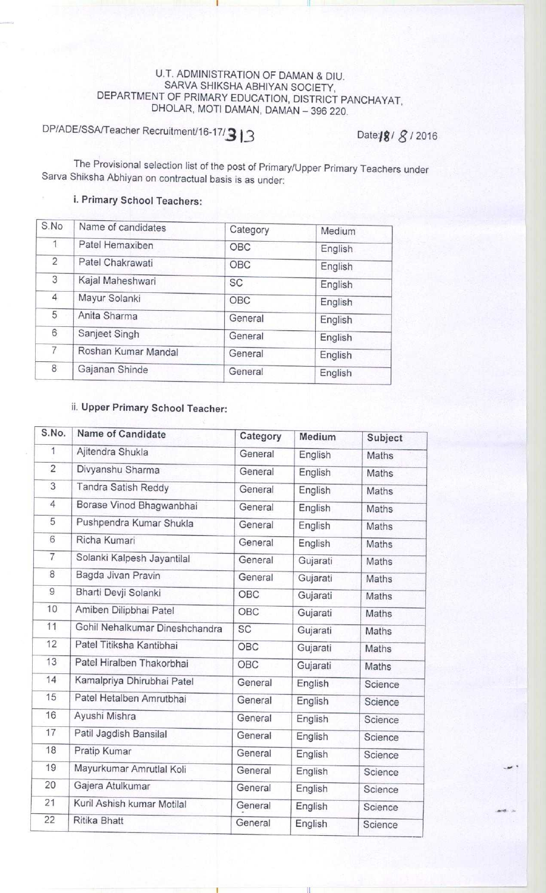## U.T. ADMINISTRATION OF DAMAN & DIU. SARVA SHIKSHA ABHIYAN SOCIETY, DEPARTMENT OF PRIMARY EDUCATION, DISTRICT PANCHAYAT, DHOLAR, MOTI DAMAN, DAMAN - 396 220.

i

## DP/ADE/SSA/Teacher **Recruitment**/16-17/3 13 **Date:/g** / 3 / 2016

The Provisional selection list of the post of Primary/Upper Primary Teachers under Sarva Shiksha Abhiyan on contractual basis is as under:

## i. Primary School Teachers:

| S.No           | Name of candidates  | Category  | Medium  |
|----------------|---------------------|-----------|---------|
| $\mathbf{1}$   | Patel Hemaxiben     | OBC       | English |
| $\overline{2}$ | Patel Chakrawati    | OBC       | English |
| 3              | Kajal Maheshwari    | <b>SC</b> | English |
| 4              | Mayur Solanki       | OBC       | English |
| 5              | Anita Sharma        | General   | English |
| 6              | Sanjeet Singh       | General   | English |
| $\overline{7}$ | Roshan Kumar Mandal | General   | English |
| 8              | Gajanan Shinde      | General   | English |

## ii. Upper Primary School Teacher:

| S.No.          | Name of Candidate              | Category | Medium   | Subject      |
|----------------|--------------------------------|----------|----------|--------------|
| 1              | Ajitendra Shukla               | General  | English  | Maths        |
| $\overline{c}$ | Divyanshu Sharma               | General  | English  | <b>Maths</b> |
| 3              | Tandra Satish Reddy            | General  | English  | Maths        |
| 4              | Borase Vinod Bhagwanbhai       | General  | English  | Maths        |
| 5              | Pushpendra Kumar Shukla        | General  | English  | Maths        |
| 6              | Richa Kumari                   | General  | English  | Maths        |
| $\overline{7}$ | Solanki Kalpesh Jayantilal     | General  | Gujarati | Maths        |
| 8              | Bagda Jivan Pravin             | General  | Gujarati | Maths        |
| 9              | Bharti Devji Solanki           | OBC      | Gujarati | Maths        |
| 10             | Amiben Dilipbhai Patel         | OBC      | Gujarati | Maths        |
| 11             | Gohil Nehalkumar Dineshchandra | SC       | Gujarati | Maths        |
| 12             | Patel Titiksha Kantibhai       | OBC      | Gujarati | Maths        |
| 13             | Patel Hiralben Thakorbhai      | OBC      | Gujarati | Maths        |
| 14             | Kamalpriya Dhirubhai Patel     | General  | English  | Science      |
| 15             | Patel Hetalben Amrutbhai       | General  | English  | Science      |
| 16             | Ayushi Mishra                  | General  | English  | Science      |
| 17             | Patil Jagdish Bansilal         | General  | English  | Science      |
| 18             | Pratip Kumar                   | General  | English  | Science      |
| 19             | Mayurkumar Amrutlal Koli       | General  | English  | Science      |
| 20             | Gajera Atulkumar               | General  | English  | Science      |
| 21             | Kuril Ashish kumar Motilal     | General  | English  | Science      |
| 22             | Ritika Bhatt                   | General  | English  | Science      |